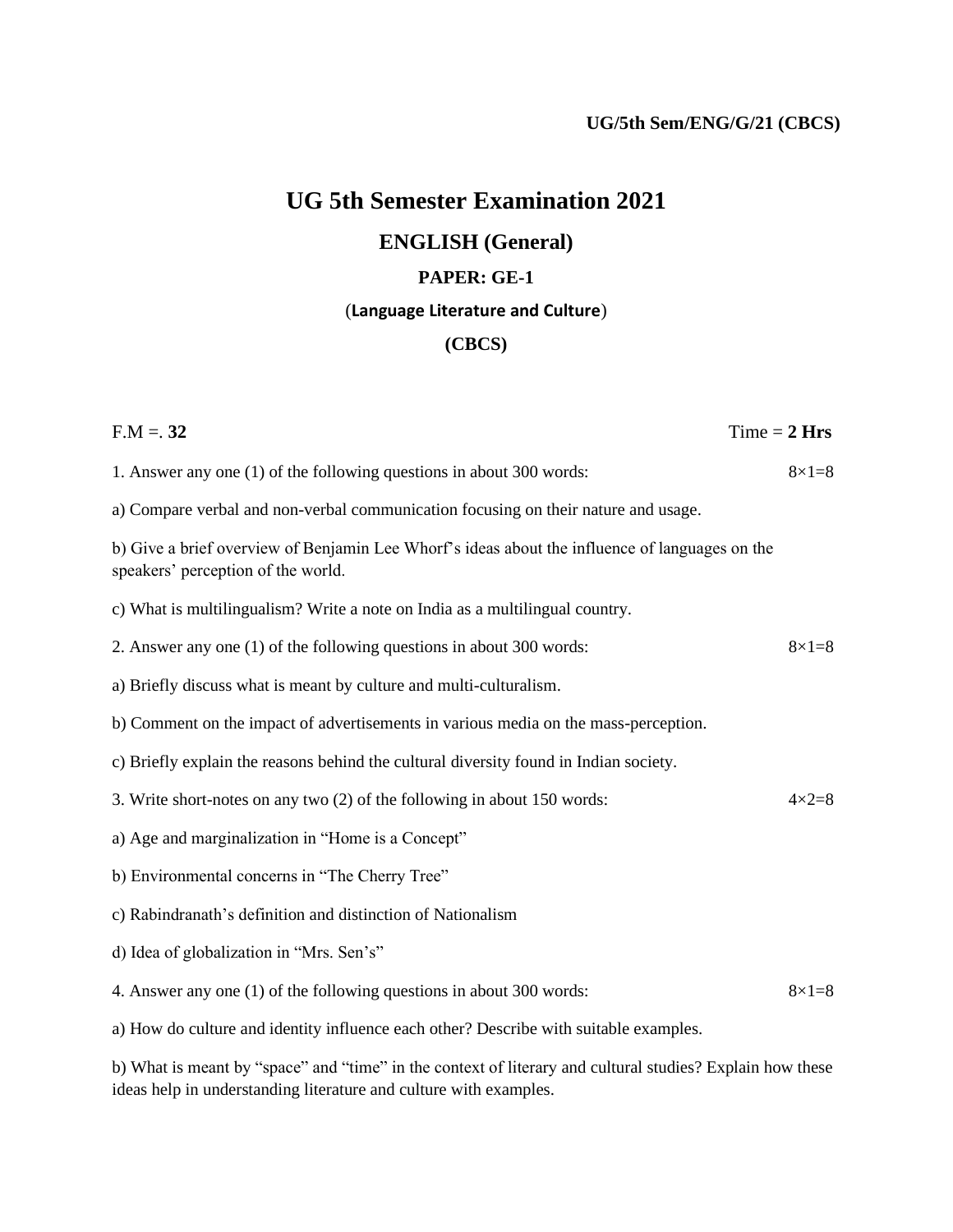# **UG 5th Semester Examination 2021**

# **ENGLISH (General)**

#### **PAPER: GE-1**

## (**Language Literature and Culture**)

## **(CBCS)**

| $F.M = 32$                                                                                                                           | $Time = 2 Hrs$   |
|--------------------------------------------------------------------------------------------------------------------------------------|------------------|
| 1. Answer any one (1) of the following questions in about 300 words:                                                                 | $8 \times 1 = 8$ |
| a) Compare verbal and non-verbal communication focusing on their nature and usage.                                                   |                  |
| b) Give a brief overview of Benjamin Lee Whorf's ideas about the influence of languages on the<br>speakers' perception of the world. |                  |
| c) What is multilingualism? Write a note on India as a multilingual country.                                                         |                  |
| 2. Answer any one (1) of the following questions in about 300 words:                                                                 | $8 \times 1 = 8$ |
| a) Briefly discuss what is meant by culture and multi-culturalism.                                                                   |                  |
| b) Comment on the impact of advertisements in various media on the mass-perception.                                                  |                  |
| c) Briefly explain the reasons behind the cultural diversity found in Indian society.                                                |                  |
| 3. Write short-notes on any two (2) of the following in about 150 words:                                                             | $4\times2=8$     |
| a) Age and marginalization in "Home is a Concept"                                                                                    |                  |
| b) Environmental concerns in "The Cherry Tree"                                                                                       |                  |
| c) Rabindranath's definition and distinction of Nationalism                                                                          |                  |
| d) Idea of globalization in "Mrs. Sen's"                                                                                             |                  |
| 4. Answer any one (1) of the following questions in about 300 words:                                                                 | $8 \times 1 = 8$ |
| a) How do culture and identity influence each other? Describe with suitable examples.                                                |                  |
| b) What is meant by "space" and "time" in the context of literary and cultural studies? Explain how these                            |                  |

ideas help in understanding literature and culture with examples.